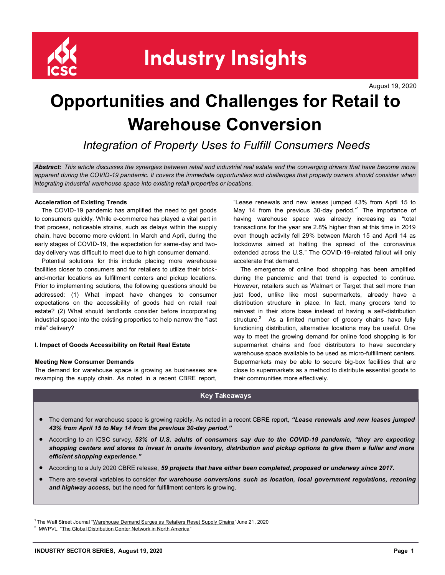

**Industry Insights** 

August 19, 2020

# **Opportunities and Challenges for Retail to Warehouse Conversion**

*Integration of Property Uses to Fulfill Consumers Needs*

*Abstract: This article discusses the synergies between retail and industrial real estate and the converging drivers that have become mo re apparent during the COVID-19 pandemic. It covers the immediate opportunities and challenges that property owners should consider when integrating industrial warehouse space into existing retail properties or locations.* 

# **Acceleration of Existing Trends**

 The COVID-19 pandemic has amplified the need to get goods to consumers quickly. While e-commerce has played a vital part in that process, noticeable strains, such as delays within the supply chain, have become more evident. In March and April, during the early stages of COVID-19, the expectation for same-day and twoday delivery was difficult to meet due to high consumer demand.

 Potential solutions for this include placing more warehouse facilities closer to consumers and for retailers to utilize their brickand-mortar locations as fulfillment centers and pickup locations. Prior to implementing solutions, the following questions should be addressed: (1) What impact have changes to consumer expectations on the accessibility of goods had on retail real estate? (2) What should landlords consider before incorporating industrial space into the existing properties to help narrow the "last mile" delivery?

## **I. Impact of Goods Accessibility on Retail Real Estate**

## **Meeting New Consumer Demands**

The demand for warehouse space is growing as businesses are revamping the supply chain. As noted in a recent CBRE report,

"Lease renewals and new leases jumped 43% from April 15 to May 14 from the previous 30-day period."<sup>1</sup> The importance of having warehouse space was already increasing as "total transactions for the year are 2.8% higher than at this time in 2019 even though activity fell 29% between March 15 and April 14 as lockdowns aimed at halting the spread of the coronavirus extended across the U.S." The COVID-19–related fallout will only accelerate that demand.

 The emergence of online food shopping has been amplified during the pandemic and that trend is expected to continue. However, retailers such as Walmart or Target that sell more than just food, unlike like most supermarkets, already have a distribution structure in place. In fact, many grocers tend to reinvest in their store base instead of having a self-distribution structure. $2$  As a limited number of grocery chains have fully functioning distribution, alternative locations may be useful. One way to meet the growing demand for online food shopping is for supermarket chains and food distributors to have secondary warehouse space available to be used as micro-fulfillment centers. Supermarkets may be able to secure big-box facilities that are close to supermarkets as a method to distribute essential goods to their communities more effectively.

# **Key Takeaways**

- The demand for warehouse space is growing rapidly. As noted in a recent CBRE report, *"Lease renewals and new leases jumped 43% from April 15 to May 14 from the previous 30-day period."*
- According to an ICSC survey, *53% of U.S. adults of consumers say due to the COVID-19 pandemic, "they are expecting shopping centers and stores to invest in onsite inventory, distribution and pickup options to give them a fuller and more efficient shopping experience."*
- According to a July 2020 CBRE release, *59 projects that have either been completed, proposed or underway since 2017.*
- There are several variables to consider *for warehouse conversions such as location, local government regulations, rezoning and highway access,* but the need for fulfillment centers is growing.

<sup>&</sup>lt;sup>1</sup> The Wall Street Journal "[Warehouse Demand Surges as Retailers Reset Supply Chains](https://www.wsj.com/articles/warehouse-demand-surges-as-retailers-reset-supply-chains-11592740800)" June 21, 2020

<sup>&</sup>lt;sup>2</sup> MWPVL, "[The Global Distribution Center Network in North America](https://mwpvl.com/html/grocery_distribution_network.html)"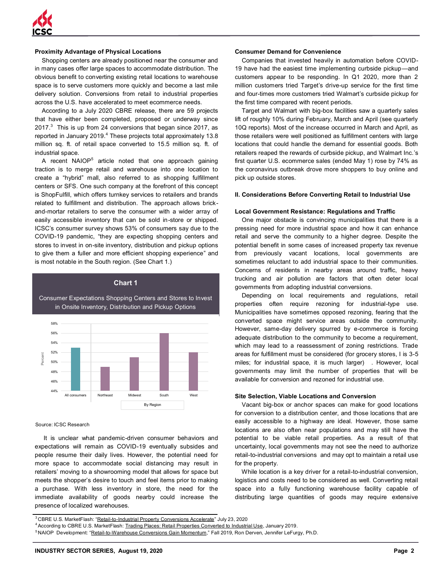

# **Proximity Advantage of Physical Locations**

 Shopping centers are already positioned near the consumer and in many cases offer large spaces to accommodate distribution. The obvious benefit to converting existing retail locations to warehouse space is to serve customers more quickly and become a last mile delivery solution. Conversions from retail to industrial properties across the U.S. have accelerated to meet ecommerce needs.

 According to a July 2020 CBRE release, there are 59 projects that have either been completed, proposed or underway since 2017. $3$  This is up from 24 conversions that began since 2017, as reported in January 2019.<sup>4</sup> These projects total approximately 13.8 million sq. ft. of retail space converted to 15.5 million sq. ft. of industrial space.

A recent NAIOP<sup>5</sup> article noted that one approach gaining traction is to merge retail and warehouse into one location to create a "hybrid" mall, also referred to as shopping fulfillment centers or SFS. One such company at the forefront of this concept is ShopFulfill, which offers turnkey services to retailers and brands related to fulfillment and distribution. The approach allows brickand-mortar retailers to serve the consumer with a wider array of easily accessible inventory that can be sold in-store or shipped. ICSC's consumer survey shows 53% of consumers say due to the COVID-19 pandemic, "they are expecting shopping centers and stores to invest in on-site inventory, distribution and pickup options to give them a fuller and more efficient shopping experience" and is most notable in the South region. (See Chart 1.)

# **Chart 1**

Consumer Expectations Shopping Centers and Stores to Invest in Onsite Inventory, Distribution and Pickup Options



#### Source: ICSC Research

 It is unclear what pandemic-driven consumer behaviors and expectations will remain as COVID-19 eventually subsides and people resume their daily lives. However, the potential need for more space to accommodate social distancing may result in retailers' moving to a showrooming model that allows for space but meets the shopper's desire to touch and feel items prior to making a purchase. With less inventory in store, the need for the immediate availability of goods nearby could increase the presence of localized warehouses.

# **Consumer Demand for Convenience**

 Companies that invested heavily in automation before COVID-19 have had the easiest time implementing curbside pickup—and customers appear to be responding. In Q1 2020, more than 2 million customers tried Target's drive-up service for the first time and four-times more customers tried Walmart's curbside pickup for the first time compared with recent periods.

 Target and Walmart with big-box facilities saw a quarterly sales lift of roughly 10% during February, March and April (see quarterly 10Q reports). Most of the increase occurred in March and April, as those retailers were well positioned as fulfillment centers with large locations that could handle the demand for essential goods. Both retailers reaped the rewards of curbside pickup, and Walmart Inc.'s first quarter U.S. ecommerce sales (ended May 1) rose by 74% as the coronavirus outbreak drove more shoppers to buy online and pick up outside stores.

## **II. Considerations Before Converting Retail to Industrial Use**

## **Local Government Resistance: Regulations and Traffic**

 One major obstacle is convincing municipalities that there is a pressing need for more industrial space and how it can enhance retail and serve the community to a higher degree. Despite the potential benefit in some cases of increased property tax revenue from previously vacant locations, local governments are sometimes reluctant to add industrial space to their communities. Concerns of residents in nearby areas around traffic, heavy trucking and air pollution are factors that often deter local governments from adopting industrial conversions.

 Depending on local requirements and regulations, retail properties often require rezoning for industrial-type use. Municipalities have sometimes opposed rezoning, fearing that the converted space might service areas outside the community. However, same-day delivery spurred by e-commerce is forcing adequate distribution to the community to become a requirement. which may lead to a reassessment of zoning restrictions. Trade areas for fulfillment must be considered (for grocery stores, I is 3-5 miles; for industrial space, it is much larger) . However, local governments may limit the number of properties that will be available for conversion and rezoned for industrial use.

### **Site Selection, Viable Locations and Conversion**

 Vacant big-box or anchor spaces can make for good locations for conversion to a distribution center, and those locations that are easily accessible to a highway are ideal. However, those same locations are also often near populations and may still have the potential to be viable retail properties. As a result of that uncertainty, local governments may not see the need to authorize retail-to-industrial conversions and may opt to maintain a retail use for the property.

 While location is a key driver for a retail-to-industrial conversion, logistics and costs need to be considered as well. Converting retail space into a fully functioning warehouse facility capable of distributing large quantities of goods may require extensive

<sup>&</sup>lt;sup>3</sup> CBRE U.S. MarketFlash: "Retail-to-[Industrial Property Conversions Accelerate](https://www.cbre.us/research-and-reports/US-MarketFlash-Retail-to-Industrial-Property-Conversions-Accelerate)" July 23, 2020

<sup>&</sup>lt;sup>4</sup> According to CBRE U.S. MarketFlash: [Trading Places: Retail Properties Converted to Industrial Use,](https://www.cbre.us/research-and-reports/trading-places-retail-properties-converted-to-industrial-use) January 2019.

<sup>&</sup>lt;sup>5</sup>NAIOP Development: "Retail-to-[Warehouse Conversions Gain Momentum](https://www.naiop.org/Research-and-Publications/Magazine/2019/Fall-2019/Development-Ownership/Retail-to-Warehouse--Conversions--Gain-Momentum)," Fall 2019, Ron Derven, Jennifer LeFurgy, Ph.D.